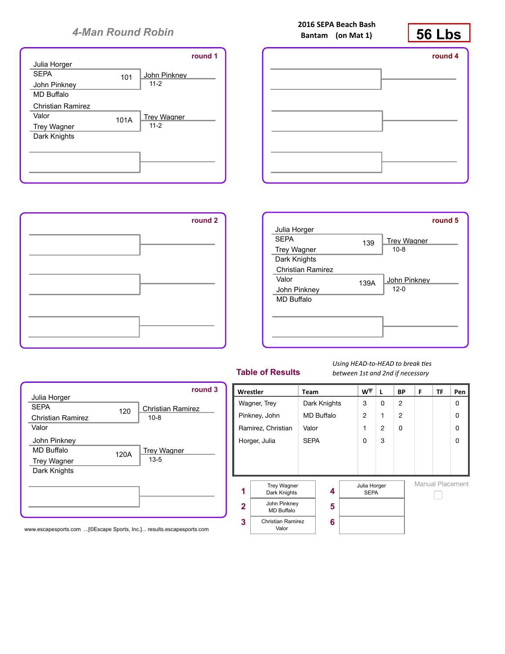







## **Table of Results**

Using HEAD-to-HEAD to break ties *between 1st and 2nd if necessary*



**2016 SEPA Beach Bash Bantam** (on Mat 1)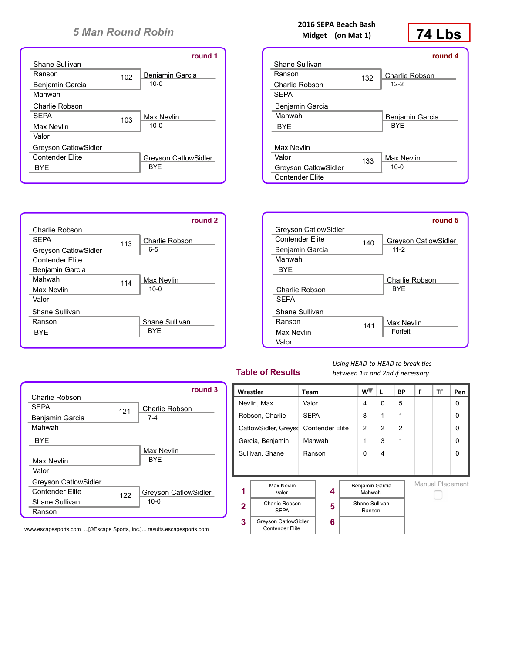|                             |     | round 1                     |
|-----------------------------|-----|-----------------------------|
| Shane Sullivan              |     |                             |
| Ranson                      | 102 | Beniamin Garcia             |
| Benjamin Garcia             |     | $10-0$                      |
| Mahwah                      |     |                             |
| Charlie Robson              |     |                             |
| <b>SFPA</b>                 | 103 | Max Nevlin                  |
| Max Nevlin                  |     | $10-0$                      |
| Valor                       |     |                             |
| <b>Greyson CatlowSidler</b> |     |                             |
| <b>Contender Elite</b>      |     | <b>Grevson CatlowSidler</b> |
| <b>BYE</b>                  |     | <b>BYF</b>                  |
|                             |     |                             |

113

114

Shane Sullivan BYE

Max Nevlin 10-0

6-5

Charlie Robson

**round 2**

Charlie Robson

Benjamin Garcia Mahwah Max Nevlin Valor

Shane Sullivan Ranson BYE

Greyson CatlowSidler Contender Elite

SEPA

## **2016 SEPA Beach Bash Midget** (on Mat 1)



|                        |     | round 4               |
|------------------------|-----|-----------------------|
| Shane Sullivan         |     |                       |
| Ranson                 | 132 | <b>Charlie Robson</b> |
| Charlie Robson         |     | $12-2$                |
| <b>SEPA</b>            |     |                       |
| Benjamin Garcia        |     |                       |
| Mahwah                 |     | Beniamin Garcia       |
| <b>BYF</b>             |     | <b>BYF</b>            |
|                        |     |                       |
| Max Nevlin             |     |                       |
| Valor                  | 133 | Max Nevlin            |
| Greyson CatlowSidler   |     | $10-0$                |
| <b>Contender Elite</b> |     |                       |

|                             |     | round 5                     |
|-----------------------------|-----|-----------------------------|
| <b>Greyson CatlowSidler</b> |     |                             |
| <b>Contender Elite</b>      | 140 | <b>Grevson CatlowSidler</b> |
| Benjamin Garcia             |     | $11-2$                      |
| Mahwah                      |     |                             |
| <b>BYE</b>                  |     |                             |
|                             |     | <b>Charlie Robson</b>       |
| Charlie Robson              |     | <b>BYF</b>                  |
| <b>SFPA</b>                 |     |                             |
| Shane Sullivan              |     |                             |
| Ranson                      | 141 | <b>Max Nevlin</b>           |
| Max Nevlin                  |     | Forfeit                     |
| Valor                       |     |                             |

## **Table of Results**

Using HEAD-to-HEAD to break ties *between 1st and 2nd if necessary*

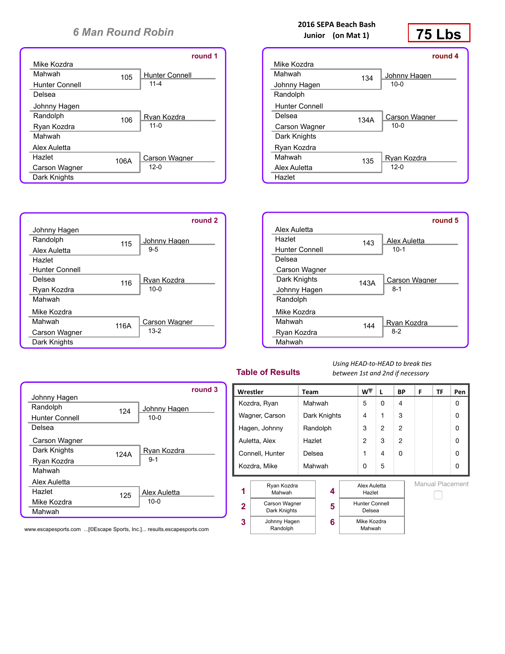|                |      | round 1               |
|----------------|------|-----------------------|
| Mike Kozdra    |      |                       |
| Mahwah         | 105  | <b>Hunter Connell</b> |
| Hunter Connell |      | $11 - 4$              |
| Delsea         |      |                       |
| Johnny Hagen   |      |                       |
| Randolph       | 106  | Rvan Kozdra           |
| Ryan Kozdra    |      | $11 - 0$              |
| Mahwah         |      |                       |
| Alex Auletta   |      |                       |
| Hazlet         | 106A | <b>Carson Wagner</b>  |
| Carson Wagner  |      | $12-0$                |
| Dark Knights   |      |                       |

115

116

116A

Carson Wagner 13-2

Ryan Kozdra 10-0

Johnny Hagen 9-5

**round 2**

Johnny Hagen Randolph Alex Auletta **Hazlet** 

Hunter Connell Delsea Ryan Kozdra Mahwah

Mike Kozdra Mahwah

Carson Wagner Dark Knights





|                       |      | round 4       |
|-----------------------|------|---------------|
| Mike Kozdra           |      |               |
| Mahwah                | 134  | Johnny Hagen  |
| Johnny Hagen          |      | $10 - 0$      |
| Randolph              |      |               |
| <b>Hunter Connell</b> |      |               |
| Delsea                | 134A | Carson Wagner |
| Carson Wagner         |      | $10 - 0$      |
| Dark Knights          |      |               |
| Ryan Kozdra           |      |               |
| Mahwah                | 135  | Rvan Kozdra   |
| Alex Auletta          |      | $12 - 0$      |
| Hazlet                |      |               |



## **Table of Results**

Using HEAD-to-HEAD to break ties *between 1st and 2nd if necessary*

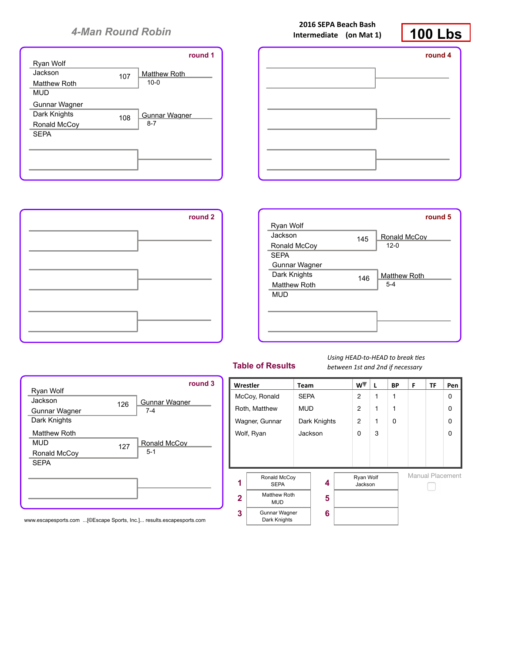







#### **Table of Results**

Using **HEAD-to-HEAD** to break ties *between 1st and 2nd if necessary*



Gunnar Wagner Dark Knights 126 Matthew Roth MUD Ronald McCoy **SEPA** 127 7-4 Ronald McCov 5-1

Gunnar Wagner

**round 3**

Ryan Wolf Jackson

www.escapesports.com ...[©Escape Sports, Inc.]... results.escapesports.com

**2016 SEPA Beach Bash Intermediate** (on Mat 1)

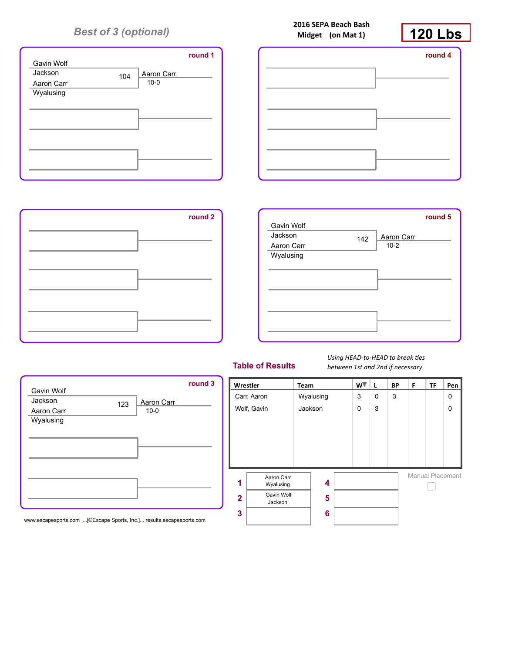# *Best of 3 (optional)*



|        | 2016 SEPA Beach Bash |
|--------|----------------------|
| Midget | (on Mat $1$ )        |







123 Aaron Carr  $10-0$ 

**round 3**



#### **Table of Results**

Using **HEAD-to-HEAD** to break ties *between 1st and 2nd if necessary*



www.escapesports.com ...[©Escape Sports, Inc.]... results.escapesports.com

Gavin Wolf Jackson Aaron Carr Wyalusing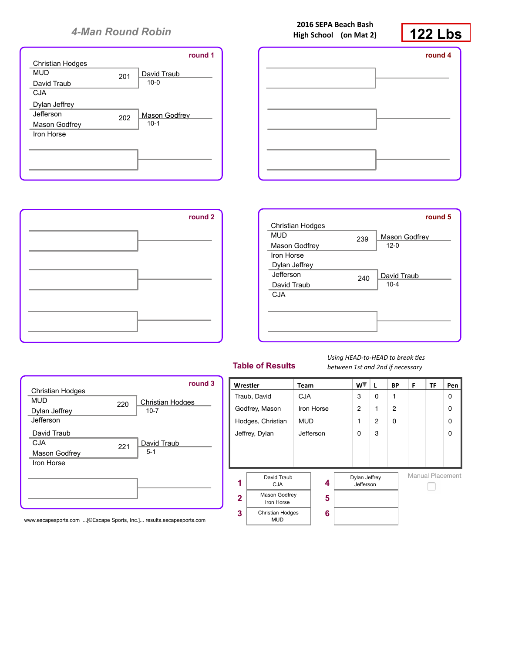

|         | 2016 SEPA Beach Bash<br>High School (on Mat 2) | <b>122 Lbs</b> |
|---------|------------------------------------------------|----------------|
| round 1 |                                                | round 4        |
|         |                                                |                |
|         |                                                |                |
|         |                                                |                |





## **Table of Results**

Using **HEAD-to-HEAD** to break ties *between 1st and 2nd if necessary*



Mason Godfrey Iron Horse 221 David Traub 5-1

220

Christian Hodges

**round 3**

10-7

Christian Hodges

David Traub **CJA** 

MUD Dylan Jeffrey Jefferson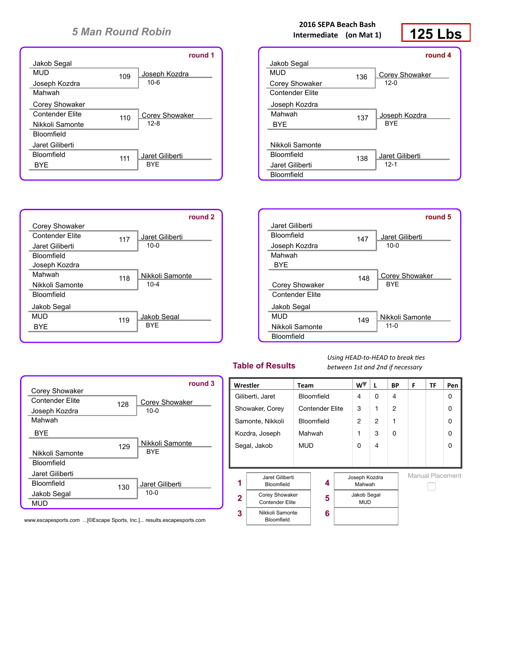



## **2016 SEPA Beach Bash Intermediate** (on Mat 1)

# **125 Lbs**

|                   |     | round 4               |
|-------------------|-----|-----------------------|
| Jakob Segal       |     |                       |
| MUD               | 136 | <b>Corey Showaker</b> |
| Corey Showaker    |     | $12-0$                |
| Contender Flite   |     |                       |
| Joseph Kozdra     |     |                       |
| Mahwah            | 137 | Joseph Kozdra         |
| <b>BYE</b>        |     | <b>BYF</b>            |
|                   |     |                       |
| Nikkoli Samonte   |     |                       |
| <b>Bloomfield</b> | 138 | Jaret Giliberti       |
| Jaret Giliberti   |     | $12-1$                |
| <b>Bloomfield</b> |     |                       |



## **Table of Results**

Using HEAD-to-HEAD to break ties *between 1st and 2nd if necessary*



|                        |     | round 3         |
|------------------------|-----|-----------------|
| Corey Showaker         |     |                 |
| <b>Contender Flite</b> | 128 | Corey Showaker  |
| Joseph Kozdra          |     | $10 - 0$        |
| Mahwah                 |     |                 |
| <b>BYF</b>             |     |                 |
|                        | 129 | Nikkoli Samonte |
| Nikkoli Samonte        |     | <b>BYF</b>      |
| <b>Bloomfield</b>      |     |                 |
| Jaret Giliberti        |     |                 |
| Bloomfield             | 130 | Jaret Giliberti |
| Jakob Segal            |     | $10 - 0$        |
| MUD                    |     |                 |
|                        |     |                 |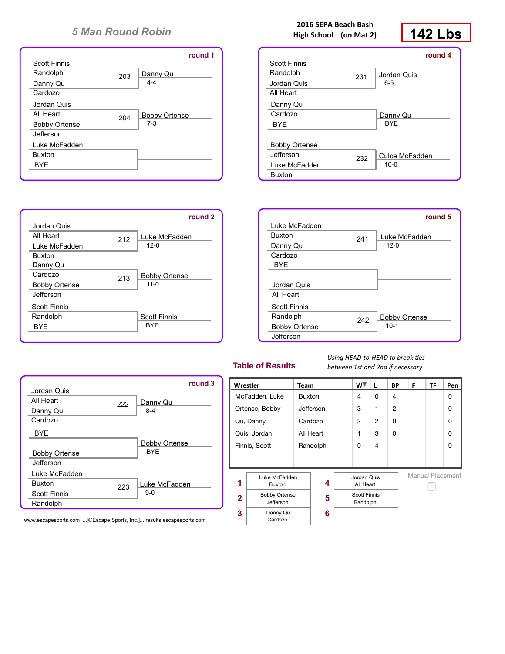

212

213

Scott Finnis BYE

Bobby Ortense 11-0

Luke McFadden 12-0

**round 2**

Jordan Quis **All Heart** Luke McFadden

Buxton

Danny Qu Cardozo Bobby Ortense **Jefferson** 

Scott Finnis Randolph BYE

## **2016 SEPA Beach Bash High School** (on Mat 2)

# **142 Lbs**

|                      |     | round 4        |
|----------------------|-----|----------------|
| <b>Scott Finnis</b>  |     |                |
| Randolph             | 231 | Jordan Quis    |
| Jordan Quis          |     | $6 - 5$        |
| All Heart            |     |                |
| Danny Qu             |     |                |
| Cardozo              |     | Danny Qu       |
| <b>BYE</b>           |     | <b>BYF</b>     |
|                      |     |                |
| <b>Bobby Ortense</b> |     |                |
| Jefferson            | 232 | Culce McFadden |
| Luke McFadden        |     | $10-0$         |
| <b>Buxton</b>        |     |                |



## **Table of Results**

Using **HEAD-to-HEAD** to break ties *between 1st and 2nd if necessary*



|                      |     | round 3              |
|----------------------|-----|----------------------|
| Jordan Quis          |     |                      |
| All Heart            | 222 | Danny Qu             |
| Danny Qu             |     | $8-4$                |
| Cardozo              |     |                      |
| <b>BYE</b>           |     |                      |
|                      |     | <b>Bobby Ortense</b> |
| <b>Bobby Ortense</b> |     | <b>BYF</b>           |
| Jefferson            |     |                      |
| Luke McFadden        |     |                      |
| <b>Buxton</b>        | 223 | Luke McFadden        |
| <b>Scott Finnis</b>  |     | $9-0$                |
| Randolph             |     |                      |
|                      |     |                      |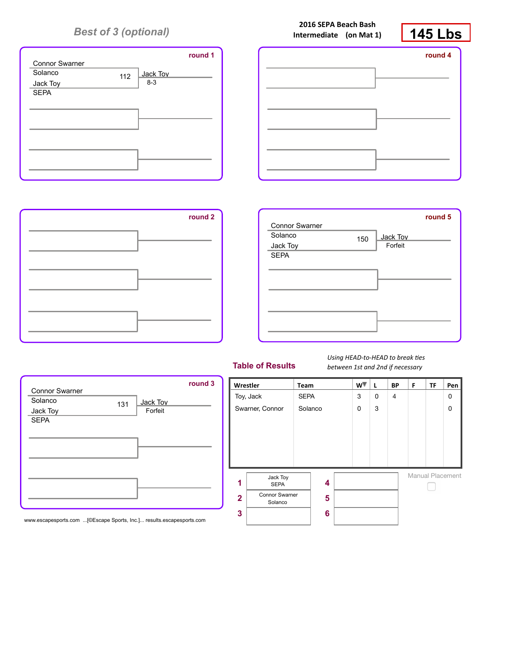# *Best of 3 (optional)*



|         | Intermediate (on Mat 1) | ∟k<br>145 L |
|---------|-------------------------|-------------|
| round 1 |                         | round 4     |
|         |                         |             |
|         |                         |             |





131 Jack Toy Forfeit

**round 3**



#### **Table of Results**

Using **HEAD-to-HEAD** to break ties *between 1st and 2nd if necessary*



www.escapesports.com ...[©Escape Sports, Inc.]... results.escapesports.com

Connor Swarner Solanco Jack Toy SEPA

**2016 SEPA Beach Bash**

# **145 Lbs**

Г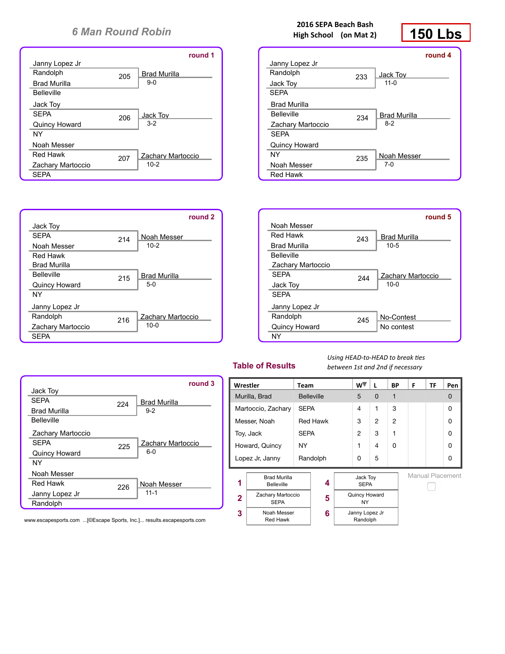|                     |     | round 1             |
|---------------------|-----|---------------------|
| Janny Lopez Jr      |     |                     |
| Randolph            | 205 | <b>Brad Murilla</b> |
| <b>Brad Murilla</b> |     | $9-0$               |
| <b>Belleville</b>   |     |                     |
| Jack Toy            |     |                     |
| <b>SFPA</b>         | 206 | Jack Tov            |
| Quincy Howard       |     | $3-2$               |
| NY                  |     |                     |
| Noah Messer         |     |                     |
| Red Hawk            | 207 | Zachary Martoccio   |
| Zachary Martoccio   |     | $10-2$              |
| <b>SEPA</b>         |     |                     |



224

225

226

## **2016 SEPA Beach Bash High School** (on Mat 2)

# **150 Lbs**

|                      |     | round 4             |
|----------------------|-----|---------------------|
| Janny Lopez Jr       |     |                     |
| Randolph             | 233 | Jack Tov            |
| Jack Toy             |     | $11 - 0$            |
| <b>SFPA</b>          |     |                     |
| <b>Brad Murilla</b>  |     |                     |
| <b>Belleville</b>    | 234 | <b>Brad Murilla</b> |
| Zachary Martoccio    |     | $8-2$               |
| <b>SFPA</b>          |     |                     |
| <b>Quincy Howard</b> |     |                     |
| NY                   | 235 | Noah Messer         |
| Noah Messer          |     | 7-0                 |
| <b>Red Hawk</b>      |     |                     |

|                     |     | round 5             |
|---------------------|-----|---------------------|
| Noah Messer         |     |                     |
| Red Hawk            | 243 | <b>Brad Murilla</b> |
| <b>Brad Murilla</b> |     | $10-5$              |
| <b>Belleville</b>   |     |                     |
| Zachary Martoccio   |     |                     |
| <b>SFPA</b>         | 244 | Zachary Martoccio   |
| Jack Toy            |     | $10 - 0$            |
| <b>SFPA</b>         |     |                     |
| Janny Lopez Jr      |     |                     |
| Randolph            | 245 | No-Contest          |
| Quincy Howard       |     | No contest          |
| NY                  |     |                     |

## **Table of Results**

Using **HEAD-to-HEAD** to break ties *between 1st and 2nd if necessary*

| round 3                    |                | Wrestler                                 | <b>Team</b> |                   |  | w™                         | L              | <b>BP</b>      | F                | <b>TF</b> | Pen |
|----------------------------|----------------|------------------------------------------|-------------|-------------------|--|----------------------------|----------------|----------------|------------------|-----------|-----|
| Brad Murilla               |                | Murilla, Brad                            |             | <b>Belleville</b> |  | 5                          | $\mathbf{0}$   |                |                  |           | 0   |
| $9-2$                      |                | Martoccio, Zachary                       |             | <b>SEPA</b>       |  | 4                          | 1              | 3              |                  |           | 0   |
|                            |                | Messer, Noah                             |             | <b>Red Hawk</b>   |  | 3                          | $\overline{2}$ | $\overline{2}$ |                  |           | 0   |
|                            |                | Toy, Jack                                |             | <b>SEPA</b>       |  | $\overline{2}$             | 3              | 1              |                  |           | 0   |
| Zachary Martoccio<br>$6-0$ | Howard, Quincy |                                          | NY          |                   |  |                            | 4              | 0              |                  |           | 0   |
|                            |                | Lopez Jr, Janny                          |             | Randolph          |  | $\Omega$                   | 5              |                |                  |           | 0   |
| Noah Messer                | 1              | <b>Brad Murilla</b><br><b>Belleville</b> |             | 4                 |  | Jack Toy<br><b>SEPA</b>    |                |                | Manual Placement |           |     |
| $11 - 1$                   | $\overline{2}$ | Zachary Martoccio<br><b>SEPA</b>         |             | 5                 |  | Quincy Howard<br><b>NY</b> |                |                |                  |           |     |
| results.escapesports.com   | 3              | Noah Messer<br>Red Hawk                  |             | 6                 |  | Janny Lopez Jr<br>Randolph |                |                |                  |           |     |

www.escapesports.com ...[©Escape Sports, Inc.]... results.escapesports.com

Jack Toy **SEPA** Brad Murilla Belleville

SEPA

NY

Zachary Martoccio

Quincy Howard

Noah Messer Red Hawk Janny Lopez Jr Randolph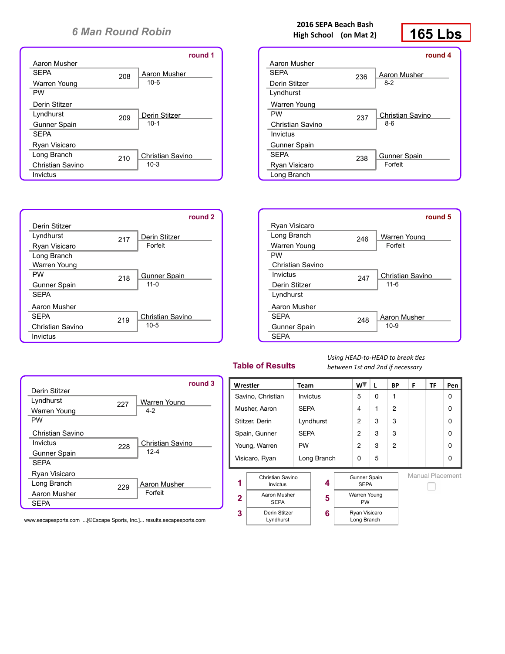|                     |     | round 1          |
|---------------------|-----|------------------|
| Aaron Musher        |     |                  |
| <b>SEPA</b>         | 208 | Aaron Musher     |
| Warren Young        |     | $10 - 6$         |
| <b>PW</b>           |     |                  |
| Derin Stitzer       |     |                  |
| Lyndhurst           | 209 | Derin Stitzer    |
| <b>Gunner Spain</b> |     | $10-1$           |
| <b>SFPA</b>         |     |                  |
| Ryan Visicaro       |     |                  |
| Long Branch         | 210 | Christian Savino |
| Christian Savino    |     | $10-3$           |
| Invictus            |     |                  |



## **2016 SEPA Beach Bash High School** (on Mat 2)

# **165 Lbs**

|                  |     | round 4          |
|------------------|-----|------------------|
| Aaron Musher     |     |                  |
| <b>SFPA</b>      | 236 | Aaron Musher     |
| Derin Stitzer    |     | $8-2$            |
| Lyndhurst        |     |                  |
| Warren Young     |     |                  |
| <b>PW</b>        | 237 | Christian Savino |
| Christian Savino |     | 8-6              |
| Invictus         |     |                  |
| Gunner Spain     |     |                  |
| <b>SEPA</b>      | 238 | Gunner Spain     |
| Ryan Visicaro    |     | Forfeit          |
| Long Branch      |     |                  |



## **Table of Results**

Using HEAD-to-HEAD to break ties *between 1st and 2nd if necessary*



|                  |     | round 3          |
|------------------|-----|------------------|
| Derin Stitzer    |     |                  |
| Lyndhurst        | 227 | Warren Young     |
| Warren Young     |     | $4-2$            |
| <b>PW</b>        |     |                  |
| Christian Savino |     |                  |
| Invictus         | 228 | Christian Savino |
| Gunner Spain     |     | $12 - 4$         |
| <b>SEPA</b>      |     |                  |
| Ryan Visicaro    |     |                  |
| Long Branch      | 229 | Aaron Musher     |
| Aaron Musher     |     | Forfeit          |
| <b>SEPA</b>      |     |                  |
|                  |     |                  |